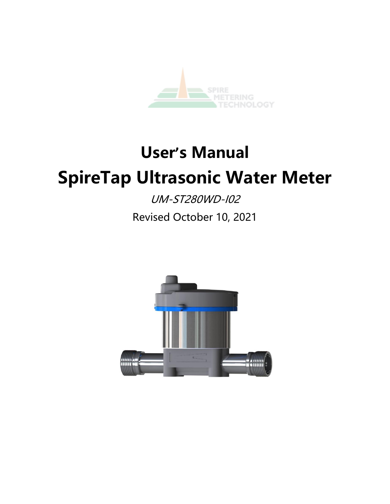

# **User's Manual SpireTap Ultrasonic Water Meter**

UM-ST280WD-I02 Revised October 10, 2021

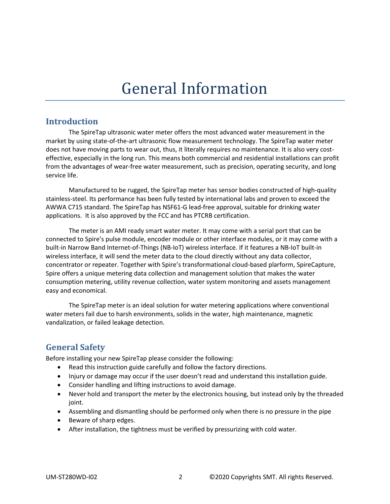## General Information

#### **Introduction**

The SpireTap ultrasonic water meter offers the most advanced water measurement in the market by using state-of-the-art ultrasonic flow measurement technology. The SpireTap water meter does not have moving parts to wear out, thus, it literally requires no maintenance. It is also very costeffective, especially in the long run. This means both commercial and residential installations can profit from the advantages of wear-free water measurement, such as precision, operating security, and long service life.

Manufactured to be rugged, the SpireTap meter has sensor bodies constructed of high-quality stainless-steel. Its performance has been fully tested by international labs and proven to exceed the AWWA C715 standard. The SpireTap has NSF61-G lead-free approval, suitable for drinking water applications. It is also approved by the FCC and has PTCRB certification.

The meter is an AMI ready smart water meter. It may come with a serial port that can be connected to Spire's pulse module, encoder module or other interface modules, or it may come with a built-in Narrow Band Internet-of-Things (NB-IoT) wireless interface. If it features a NB-IoT built-in wireless interface, it will send the meter data to the cloud directly without any data collector, concentrator or repeater. Together with Spire's transformational cloud-based plarform, SpireCapture, Spire offers a unique metering data collection and management solution that makes the water consumption metering, utility revenue collection, water system monitoring and assets management easy and economical.

The SpireTap meter is an ideal solution for water metering applications where conventional water meters fail due to harsh environments, solids in the water, high maintenance, magnetic vandalization, or failed leakage detection.

### **General Safety**

Before installing your new SpireTap please consider the following:

- Read this instruction guide carefully and follow the factory directions.
- Injury or damage may occur if the user doesn't read and understand this installation guide.
- Consider handling and lifting instructions to avoid damage.
- Never hold and transport the meter by the electronics housing, but instead only by the threaded joint.
- Assembling and dismantling should be performed only when there is no pressure in the pipe
- Beware of sharp edges.
- After installation, the tightness must be verified by pressurizing with cold water.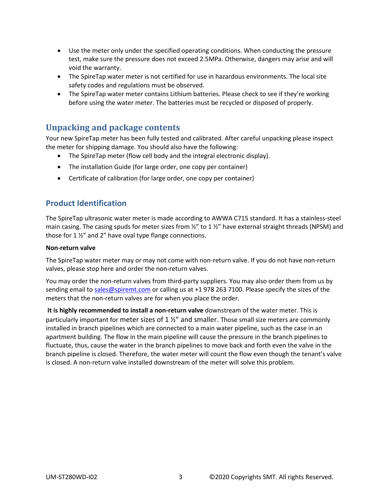- Use the meter only under the specified operating conditions. When conducting the pressure test, make sure the pressure does not exceed 2.5MPa. Otherwise, dangers may arise and will void the warranty.
- The SpireTap water meter is not certified for use in hazardous environments. The local site safety codes and regulations must be observed.
- The SpireTap water meter contains Lithium batteries. Please check to see if they're working before using the water meter. The batteries must be recycled or disposed of properly.

#### **Unpacking and package contents**

Your new SpireTap meter has been fully tested and calibrated. After careful unpacking please inspect the meter for shipping damage. You should also have the following:

- The SpireTap meter (flow cell body and the integral electronic display).
- The installation Guide (for large order, one copy per container)
- Certificate of calibration (for large order, one copy per container)

#### **Product Identification**

The SpireTap ultrasonic water meter is made according to AWWA C715 standard. It has a stainless-steel main casing. The casing spuds for meter sizes from  $\frac{y}{z}$  to 1  $\frac{y}{z}$  have external straight threads (NPSM) and those for 1 ½" and 2" have oval type flange connections.

#### **Non-return valve**

The SpireTap water meter may or may not come with non-return valve. If you do not have non-return valves, please stop here and order the non-return valves.

You may order the non-return valves from third-party suppliers. You may also order them from us by sending email to [sales@spiremt.com](mailto:sales@spiremt.com) or calling us at +1 978 263 7100. Please specify the sizes of the meters that the non-return valves are for when you place the order.

**It is highly recommended to install a non-return valve** downstream of the water meter. This is particularly important for meter sizes of  $1\frac{1}{2}$  and smaller. Those small size meters are commonly installed in branch pipelines which are connected to a main water pipeline, such as the case in an apartment building. The flow in the main pipeline will cause the pressure in the branch pipelines to fluctuate, thus, cause the water in the branch pipelines to move back and forth even the valve in the branch pipeline is closed. Therefore, the water meter will count the flow even though the tenant's valve is closed. A non-return valve installed downstream of the meter will solve this problem.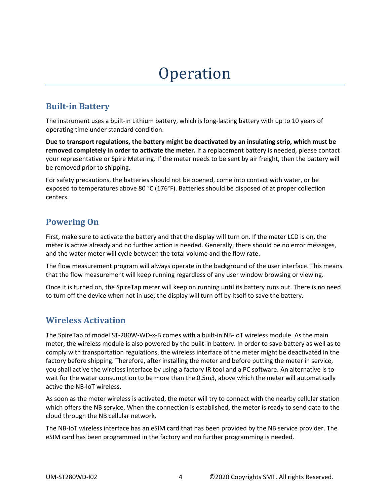## **Operation**

## **Built-in Battery**

The instrument uses a built-in Lithium battery, which is long-lasting battery with up to 10 years of operating time under standard condition.

**Due to transport regulations, the battery might be deactivated by an insulating strip, which must be removed completely in order to activate the meter.** If a replacement battery is needed, please contact your representative or Spire Metering. If the meter needs to be sent by air freight, then the battery will be removed prior to shipping.

For safety precautions, the batteries should not be opened, come into contact with water, or be exposed to temperatures above 80 °C (176°F). Batteries should be disposed of at proper collection centers.

## **Powering On**

First, make sure to activate the battery and that the display will turn on. If the meter LCD is on, the meter is active already and no further action is needed. Generally, there should be no error messages, and the water meter will cycle between the total volume and the flow rate.

The flow measurement program will always operate in the background of the user interface. This means that the flow measurement will keep running regardless of any user window browsing or viewing.

Once it is turned on, the SpireTap meter will keep on running until its battery runs out. There is no need to turn off the device when not in use; the display will turn off by itself to save the battery.

## **Wireless Activation**

The SpireTap of model ST-280W-WD-x-B comes with a built-in NB-IoT wireless module. As the main meter, the wireless module is also powered by the built-in battery. In order to save battery as well as to comply with transportation regulations, the wireless interface of the meter might be deactivated in the factory before shipping. Therefore, after installing the meter and before putting the meter in service, you shall active the wireless interface by using a factory IR tool and a PC software. An alternative is to wait for the water consumption to be more than the 0.5m3, above which the meter will automatically active the NB-IoT wireless.

As soon as the meter wireless is activated, the meter will try to connect with the nearby cellular station which offers the NB service. When the connection is established, the meter is ready to send data to the cloud through the NB cellular network.

The NB-IoT wireless interface has an eSIM card that has been provided by the NB service provider. The eSIM card has been programmed in the factory and no further programming is needed.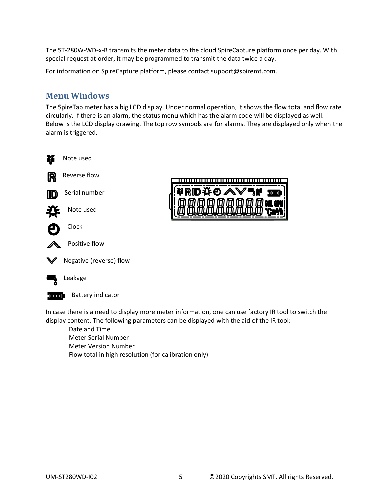The ST-280W-WD-x-B transmits the meter data to the cloud SpireCapture platform once per day. With special request at order, it may be programmed to transmit the data twice a day.

For information on SpireCapture platform, please contact support@spiremt.com.

#### **Menu Windows**

The SpireTap meter has a big LCD display. Under normal operation, it shows the flow total and flow rate circularly. If there is an alarm, the status menu which has the alarm code will be displayed as well. Below is the LCD display drawing. The top row symbols are for alarms. They are displayed only when the alarm is triggered.





In case there is a need to display more meter information, one can use factory IR tool to switch the

display content. The following parameters can be displayed with the aid of the IR tool: Date and Time Meter Serial Number Meter Version Number Flow total in high resolution (for calibration only)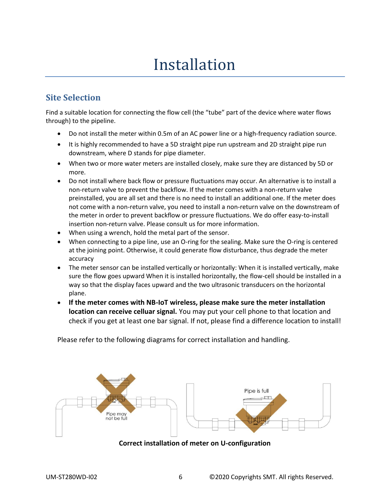## Installation

### **Site Selection**

Find a suitable location for connecting the flow cell (the "tube" part of the device where water flows through) to the pipeline.

- Do not install the meter within 0.5m of an AC power line or a high-frequency radiation source.
- It is highly recommended to have a 5D straight pipe run upstream and 2D straight pipe run downstream, where D stands for pipe diameter.
- When two or more water meters are installed closely, make sure they are distanced by 5D or more.
- Do not install where back flow or pressure fluctuations may occur. An alternative is to install a non-return valve to prevent the backflow. If the meter comes with a non-return valve preinstalled, you are all set and there is no need to install an additional one. If the meter does not come with a non-return valve, you need to install a non-return valve on the downstream of the meter in order to prevent backflow or pressure fluctuations. We do offer easy-to-install insertion non-return valve. Please consult us for more information.
- When using a wrench, hold the metal part of the sensor.
- When connecting to a pipe line, use an O-ring for the sealing. Make sure the O-ring is centered at the joining point. Otherwise, it could generate flow disturbance, thus degrade the meter accuracy
- The meter sensor can be installed vertically or horizontally: When it is installed vertically, make sure the flow goes upward When it is installed horizontally, the flow-cell should be installed in a way so that the display faces upward and the two ultrasonic transducers on the horizontal plane.
- **If the meter comes with NB-IoT wireless, please make sure the meter installation location can receive celluar signal.** You may put your cell phone to that location and check if you get at least one bar signal. If not, please find a difference location to install!

Please refer to the following diagrams for correct installation and handling.



**Correct installation of meter on U-configuration**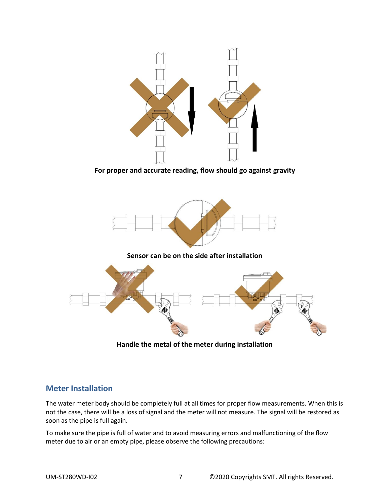

**For proper and accurate reading, flow should go against gravity**



**Handle the metal of the meter during installation**

### **Meter Installation**

The water meter body should be completely full at all times for proper flow measurements. When this is not the case, there will be a loss of signal and the meter will not measure. The signal will be restored as soon as the pipe is full again.

To make sure the pipe is full of water and to avoid measuring errors and malfunctioning of the flow meter due to air or an empty pipe, please observe the following precautions: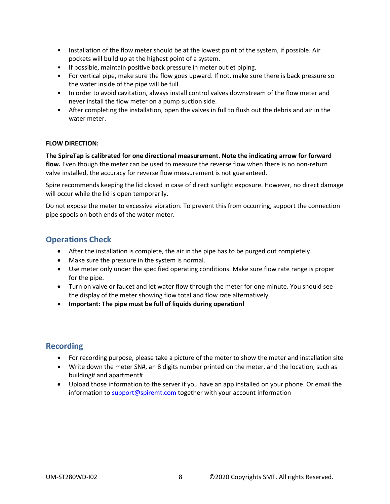- Installation of the flow meter should be at the lowest point of the system, if possible. Air pockets will build up at the highest point of a system.
- If possible, maintain positive back pressure in meter outlet piping.
- For vertical pipe, make sure the flow goes upward. If not, make sure there is back pressure so the water inside of the pipe will be full.
- In order to avoid cavitation, always install control valves downstream of the flow meter and never install the flow meter on a pump suction side.
- After completing the installation, open the valves in full to flush out the debris and air in the water meter.

#### **FLOW DIRECTION:**

**The SpireTap is calibrated for one directional measurement. Note the indicating arrow for forward flow.** Even though the meter can be used to measure the reverse flow when there is no non-return valve installed, the accuracy for reverse flow measurement is not guaranteed.

Spire recommends keeping the lid closed in case of direct sunlight exposure. However, no direct damage will occur while the lid is open temporarily.

Do not expose the meter to excessive vibration. To prevent this from occurring, support the connection pipe spools on both ends of the water meter.

#### **Operations Check**

- After the installation is complete, the air in the pipe has to be purged out completely.
- Make sure the pressure in the system is normal.
- Use meter only under the specified operating conditions. Make sure flow rate range is proper for the pipe.
- Turn on valve or faucet and let water flow through the meter for one minute. You should see the display of the meter showing flow total and flow rate alternatively.
- **Important: The pipe must be full of liquids during operation!**

#### **Recording**

- For recording purpose, please take a picture of the meter to show the meter and installation site
- Write down the meter SN#, an 8 digits number printed on the meter, and the location, such as building# and apartment#
- Upload those information to the server if you have an app installed on your phone. Or email the information t[o support@spiremt.com](mailto:support@spiremt.com) together with your account information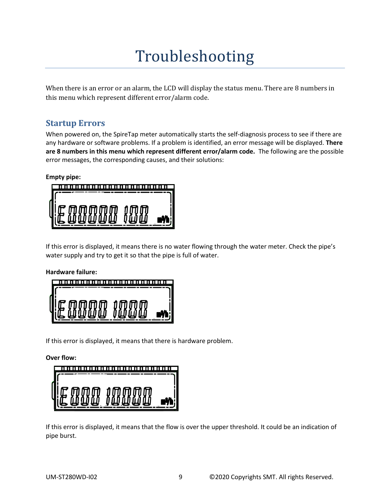## Troubleshooting

When there is an error or an alarm, the LCD will display the status menu. There are 8 numbers in this menu which represent different error/alarm code.

### **Startup Errors**

When powered on, the SpireTap meter automatically starts the self-diagnosis process to see if there are any hardware or software problems. If a problem is identified, an error message will be displayed. **There are 8 numbers in this menu which represent different error/alarm code.** The following are the possible error messages, the corresponding causes, and their solutions:

#### **Empty pipe:**



If this error is displayed, it means there is no water flowing through the water meter. Check the pipe's water supply and try to get it so that the pipe is full of water.

#### **Hardware failure:**

If this error is displayed, it means that there is hardware problem.

**Over flow:**

If this error is displayed, it means that the flow is over the upper threshold. It could be an indication of pipe burst.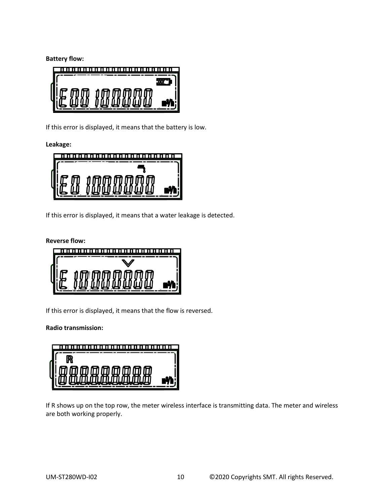**Battery flow:**



If this error is displayed, it means that the battery is low.

**Leakage:**



If this error is displayed, it means that a water leakage is detected.



If this error is displayed, it means that the flow is reversed.

**Radio transmission:**

| <u> 1989 - 1989 - 1989 - 1989 - 1989 - 1989 - 1989 - 1989 - 1989 - 19</u> |  |
|---------------------------------------------------------------------------|--|
|                                                                           |  |
|                                                                           |  |
|                                                                           |  |
|                                                                           |  |

If R shows up on the top row, the meter wireless interface is transmitting data. The meter and wireless are both working properly.